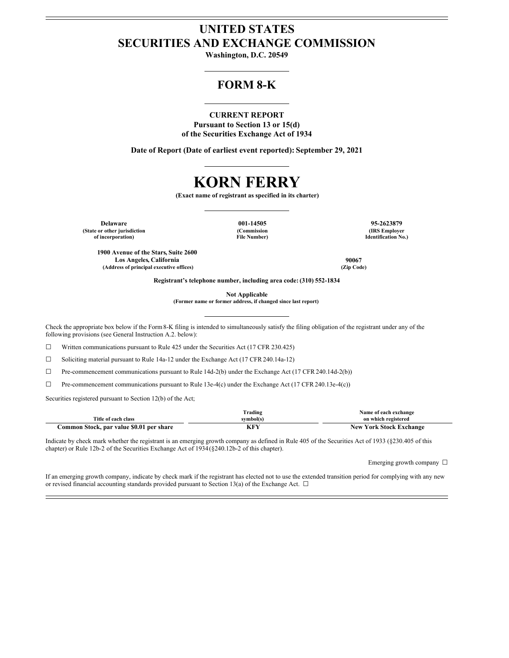# **UNITED STATES SECURITIES AND EXCHANGE COMMISSION**

**Washington, D.C. 20549**

## **FORM 8-K**

## **CURRENT REPORT**

**Pursuant to Section 13 or 15(d) of the Securities Exchange Act of 1934**

**Date of Report (Date of earliest event reported): September 29, 2021**

# **KORN FERRY**

**(Exact name of registrant as specified in its charter)**

**Delaware 001-14505 95-2623879 (State or other jurisdiction of incorporation)**

**(Commission File Number)**

**(IRS Employer Identification No.)**

**1900 Avenue of the Stars, Suite 2600 Los Angeles, California 90067 (Address of principal executive offices) (Zip Code)**

**Registrant's telephone number, including area code: (310) 552-1834**

**Not Applicable**

**(Former name or former address, if changed since last report)**

Check the appropriate box below if the Form8-K filing is intended to simultaneously satisfy the filing obligation of the registrant under any of the following provisions (see General Instruction A.2. below):

☐ Written communications pursuant to Rule 425 under the Securities Act (17 CFR 230.425)

☐ Soliciting material pursuant to Rule 14a-12 under the Exchange Act (17 CFR 240.14a-12)

☐ Pre-commencement communications pursuant to Rule 14d-2(b) under the Exchange Act (17 CFR 240.14d-2(b))

☐ Pre-commencement communications pursuant to Rule 13e-4(c) under the Exchange Act (17 CFR 240.13e-4(c))

Securities registered pursuant to Section 12(b) of the Act;

|                                          | Trading   | Name of each exchange          |
|------------------------------------------|-----------|--------------------------------|
| Title of each class                      | svmbol(s) | on which registered            |
| Common Stock, par value \$0.01 per share | И™        | <b>New York Stock Exchange</b> |

Indicate by check mark whether the registrant is an emerging growth company as defined in Rule 405 of the Securities Act of 1933 (§230.405 of this chapter) or Rule 12b-2 of the Securities Exchange Act of 1934(§240.12b-2 of this chapter).

Emerging growth company ☐

If an emerging growth company, indicate by check mark if the registrant has elected not to use the extended transition period for complying with any new or revised financial accounting standards provided pursuant to Section 13(a) of the Exchange Act.  $\Box$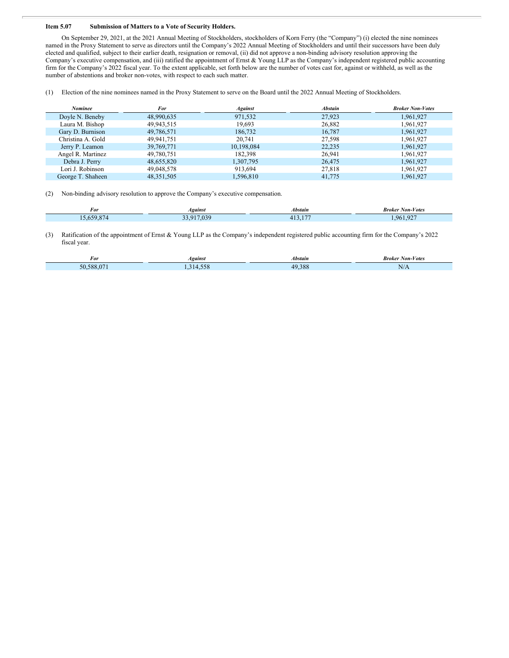### **Item 5.07 Submission of Matters to a Vote of Security Holders.**

On September 29, 2021, at the 2021 Annual Meeting of Stockholders, stockholders of Korn Ferry (the "Company") (i) elected the nine nominees named in the Proxy Statement to serve as directors until the Company's 2022 Annual Meeting of Stockholders and until their successors have been duly elected and qualified, subject to their earlier death, resignation or removal, (ii) did not approve a non-binding advisory resolution approving the Company's executive compensation, and (iii) ratified the appointment of Ernst & Young LLP as the Company's independent registered public accounting firm for the Company's 2022 fiscal year. To the extent applicable, set forth below are the number of votes cast for, against or withheld, as well as the number of abstentions and broker non-votes, with respect to each such matter.

(1) Election of the nine nominees named in the Proxy Statement to serve on the Board until the 2022 Annual Meeting of Stockholders.

| Nominee           | For          | <b>Against</b> | <b>Abstain</b> | <b>Broker Non-Votes</b> |
|-------------------|--------------|----------------|----------------|-------------------------|
| Doyle N. Beneby   | 48.990.635   | 971.532        | 27.923         | 1.961.927               |
| Laura M. Bishop   | 49,943,515   | 19,693         | 26,882         | 1,961,927               |
| Gary D. Burnison  | 49,786,571   | 186,732        | 16.787         | 1,961,927               |
| Christina A. Gold | 49.941.751   | 20.741         | 27,598         | 1,961,927               |
| Jerry P. Leamon   | 39, 769, 771 | 10,198,084     | 22,235         | 1,961,927               |
| Angel R. Martinez | 49,780,751   | 182,398        | 26,941         | 1,961,927               |
| Debra J. Perry    | 48,655,820   | 1,307,795      | 26,475         | 1,961,927               |
| Lori J. Robinson  | 49,048,578   | 913.694        | 27,818         | 1,961,927               |
| George T. Shaheen | 48.351.505   | 1.596.810      | 41,775         | 1.961.927               |

(2) Non-binding advisory resolution to approve the Company's executive compensation.

Γ

| For    | <i>Againsi</i>                        | 4bstain    | Non-Votes<br>Broker<br>.                 |
|--------|---------------------------------------|------------|------------------------------------------|
| $\sim$ | $\sim$ $\sim$<br>$\sim$ $\sim$ $\sim$ | --<br>____ | $\Omega$<br>06<br><b>Service Service</b> |

(3) Ratification of the appointment of Ernst & Young LLP as the Company's independent registered public accounting firm for the Company's 2022 fiscal year.

| *01                                   | <i><b>Against</b></i> | Abstain                   | Non-Votes<br>Broker |
|---------------------------------------|-----------------------|---------------------------|---------------------|
| $\sqrt{2}$<br>$\epsilon$<br>38X<br>יי | $-10$<br><b>T.J.</b>  | 200<br>$\Lambda$ Q<br>. c | 1.1111              |